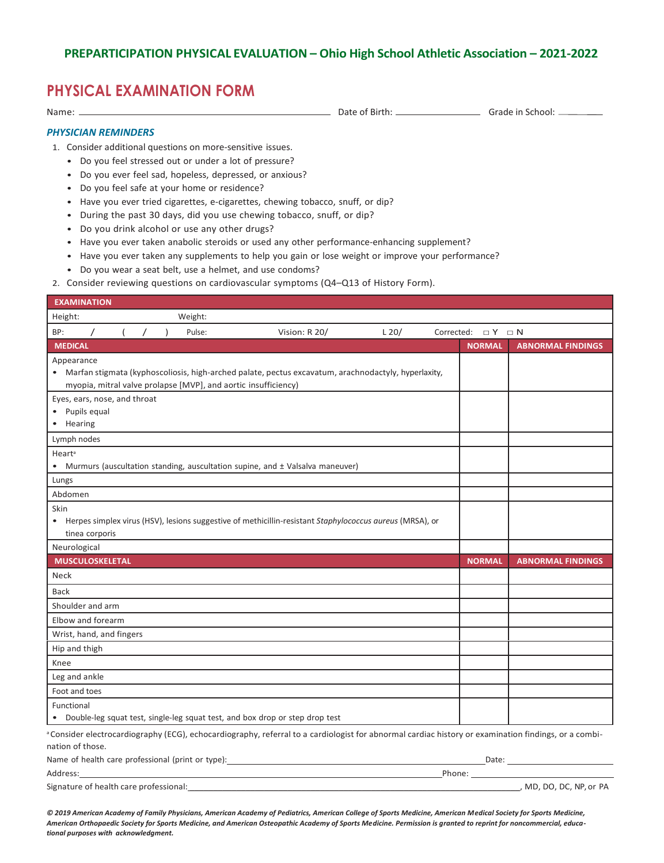## **PHYSICAL EXAMINATION FORM**

Name: Date of Birth: Grade in School:

## *PHYSICIAN REMINDERS*

1. Consider additional questions on more-sensitive issues.

- Do you feel stressed out or under a lot of pressure?
- Do you ever feel sad, hopeless, depressed, or anxious?
- Do you feel safe at your home or residence?
- Have you ever tried cigarettes, e-cigarettes, chewing tobacco, snuff, or dip?
- During the past 30 days, did you use chewing tobacco, snuff, or dip?
- Do you drink alcohol or use any other drugs?
- Have you ever taken anabolic steroids or used any other performance-enhancing supplement?
- Have you ever taken any supplements to help you gain or lose weight or improve your performance?
- Do you wear a seat belt, use a helmet, and use condoms?
- 2. Consider reviewing questions on cardiovascular symptoms (Q4–Q13 of History Form).

| <b>EXAMINATION</b> |                              |  |                |  |                                                   |                                                                                                                                                                 |         |                            |                          |
|--------------------|------------------------------|--|----------------|--|---------------------------------------------------|-----------------------------------------------------------------------------------------------------------------------------------------------------------------|---------|----------------------------|--------------------------|
| Height:            |                              |  |                |  | Weight:                                           |                                                                                                                                                                 |         |                            |                          |
| BP:                | $\prime$                     |  | $\overline{I}$ |  | Pulse:                                            | Vision: R 20/                                                                                                                                                   | $L$ 20/ | Corrected: $\Box Y \Box N$ |                          |
| <b>MEDICAL</b>     |                              |  |                |  |                                                   |                                                                                                                                                                 |         | <b>NORMAL</b>              | <b>ABNORMAL FINDINGS</b> |
| Appearance         |                              |  |                |  |                                                   |                                                                                                                                                                 |         |                            |                          |
|                    |                              |  |                |  |                                                   | • Marfan stigmata (kyphoscoliosis, high-arched palate, pectus excavatum, arachnodactyly, hyperlaxity,                                                           |         |                            |                          |
|                    |                              |  |                |  |                                                   | myopia, mitral valve prolapse [MVP], and aortic insufficiency)                                                                                                  |         |                            |                          |
|                    | Eyes, ears, nose, and throat |  |                |  |                                                   |                                                                                                                                                                 |         |                            |                          |
|                    | Pupils equal                 |  |                |  |                                                   |                                                                                                                                                                 |         |                            |                          |
| • Hearing          |                              |  |                |  |                                                   |                                                                                                                                                                 |         |                            |                          |
| Lymph nodes        |                              |  |                |  |                                                   |                                                                                                                                                                 |         |                            |                          |
| Heart <sup>a</sup> |                              |  |                |  |                                                   |                                                                                                                                                                 |         |                            |                          |
|                    |                              |  |                |  |                                                   | Murmurs (auscultation standing, auscultation supine, and ± Valsalva maneuver)                                                                                   |         |                            |                          |
| Lungs              |                              |  |                |  |                                                   |                                                                                                                                                                 |         |                            |                          |
| Abdomen            |                              |  |                |  |                                                   |                                                                                                                                                                 |         |                            |                          |
| Skin               |                              |  |                |  |                                                   |                                                                                                                                                                 |         |                            |                          |
|                    |                              |  |                |  |                                                   | • Herpes simplex virus (HSV), lesions suggestive of methicillin-resistant Staphylococcus aureus (MRSA), or                                                      |         |                            |                          |
|                    | tinea corporis               |  |                |  |                                                   |                                                                                                                                                                 |         |                            |                          |
| Neurological       |                              |  |                |  |                                                   |                                                                                                                                                                 |         |                            |                          |
|                    | <b>MUSCULOSKELETAL</b>       |  |                |  |                                                   |                                                                                                                                                                 |         | <b>NORMAL</b>              | <b>ABNORMAL FINDINGS</b> |
| Neck               |                              |  |                |  |                                                   |                                                                                                                                                                 |         |                            |                          |
| <b>Back</b>        |                              |  |                |  |                                                   |                                                                                                                                                                 |         |                            |                          |
|                    | Shoulder and arm             |  |                |  |                                                   |                                                                                                                                                                 |         |                            |                          |
|                    | Elbow and forearm            |  |                |  |                                                   |                                                                                                                                                                 |         |                            |                          |
|                    | Wrist, hand, and fingers     |  |                |  |                                                   |                                                                                                                                                                 |         |                            |                          |
|                    | Hip and thigh                |  |                |  |                                                   |                                                                                                                                                                 |         |                            |                          |
| Knee               |                              |  |                |  |                                                   |                                                                                                                                                                 |         |                            |                          |
|                    | Leg and ankle                |  |                |  |                                                   |                                                                                                                                                                 |         |                            |                          |
|                    | Foot and toes                |  |                |  |                                                   |                                                                                                                                                                 |         |                            |                          |
| Functional         |                              |  |                |  |                                                   |                                                                                                                                                                 |         |                            |                          |
|                    |                              |  |                |  |                                                   | Double-leg squat test, single-leg squat test, and box drop or step drop test                                                                                    |         |                            |                          |
|                    |                              |  |                |  |                                                   | <sup>a</sup> Consider electrocardiography (ECG), echocardiography, referral to a cardiologist for abnormal cardiac history or examination findings, or a combi- |         |                            |                          |
| nation of those.   |                              |  |                |  |                                                   |                                                                                                                                                                 |         |                            |                          |
|                    |                              |  |                |  | Name of health care professional (print or tupe): |                                                                                                                                                                 |         | D <sub>0</sub>             |                          |

| Name of health care professional (print or type): | Date                    |
|---------------------------------------------------|-------------------------|
| Address:                                          | Phone:                  |
| Signature of health care professional:            | , MD, DO, DC, NP, or PA |

*© 2019 American Academy of Family Physicians, American Academy of Pediatrics, American College of Sports Medicine, American Medical Society for Sports Medicine, American Orthopaedic Society for Sports Medicine, and American Osteopathic Academy of Sports Medicine. Permission is granted to reprint for noncommercial, educational purposes with acknowledgment.*